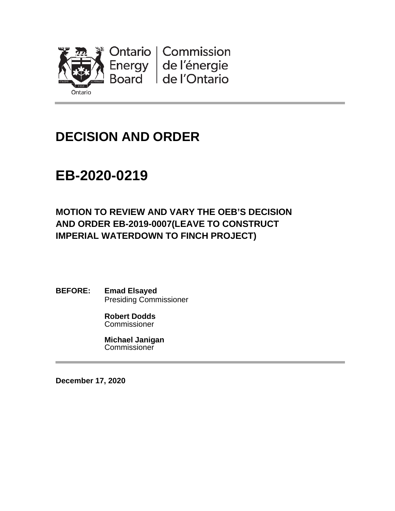

# **DECISION AND ORDER**

# **EB-2020-0219**

### **MOTION TO REVIEW AND VARY THE OEB'S DECISION AND ORDER EB-2019-0007(LEAVE TO CONSTRUCT IMPERIAL WATERDOWN TO FINCH PROJECT)**

**BEFORE: Emad Elsayed** Presiding Commissioner

> **Robert Dodds Commissioner**

**Michael Janigan Commissioner** 

**December 17, 2020**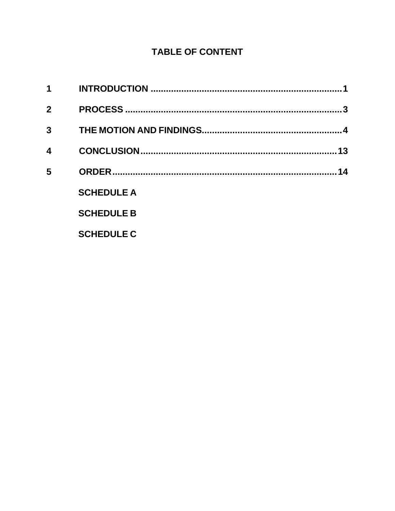### **TABLE OF CONTENT**

| 1           |                   |    |
|-------------|-------------------|----|
| $\mathbf 2$ |                   |    |
| 3           |                   |    |
| 4           |                   | 13 |
| 5           |                   | 14 |
|             | <b>SCHEDULE A</b> |    |
|             | <b>SCHEDULE B</b> |    |
|             | <b>SCHEDULE C</b> |    |
|             |                   |    |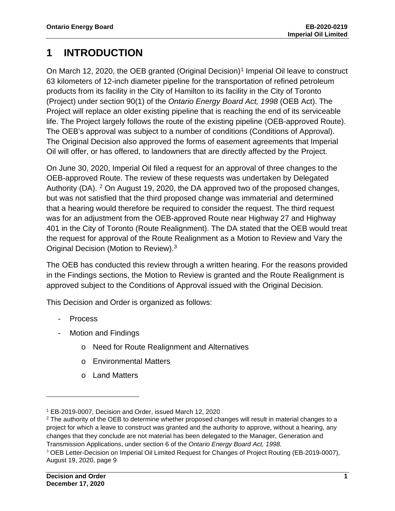## <span id="page-2-0"></span>**1 INTRODUCTION**

On March [1](#page-2-1)2, 2020, the OEB granted (Original Decision)<sup>1</sup> Imperial Oil leave to construct 63 kilometers of 12-inch diameter pipeline for the transportation of refined petroleum products from its facility in the City of Hamilton to its facility in the City of Toronto (Project) under section 90(1) of the *Ontario Energy Board Act, 1998* (OEB Act). The Project will replace an older existing pipeline that is reaching the end of its serviceable life. The Project largely follows the route of the existing pipeline (OEB-approved Route). The OEB's approval was subject to a number of conditions (Conditions of Approval). The Original Decision also approved the forms of easement agreements that Imperial Oil will offer, or has offered, to landowners that are directly affected by the Project.

On June 30, 2020, Imperial Oil filed a request for an approval of three changes to the OEB-approved Route. The review of these requests was undertaken by Delegated Authority (DA). [2](#page-2-2) On August 19, 2020, the DA approved two of the proposed changes, but was not satisfied that the third proposed change was immaterial and determined that a hearing would therefore be required to consider the request. The third request was for an adjustment from the OEB-approved Route near Highway 27 and Highway 401 in the City of Toronto (Route Realignment). The DA stated that the OEB would treat the request for approval of the Route Realignment as a Motion to Review and Vary the Original Decision (Motion to Review).[3](#page-2-3)

The OEB has conducted this review through a written hearing. For the reasons provided in the Findings sections, the Motion to Review is granted and the Route Realignment is approved subject to the Conditions of Approval issued with the Original Decision.

This Decision and Order is organized as follows:

- **Process**
- Motion and Findings
	- o Need for Route Realignment and Alternatives
	- o Environmental Matters
	- o Land Matters

<span id="page-2-1"></span><sup>1</sup> EB-2019-0007, Decision and Order, issued March 12, 2020

<span id="page-2-2"></span><sup>&</sup>lt;sup>2</sup> The authority of the OEB to determine whether proposed changes will result in material changes to a project for which a leave to construct was granted and the authority to approve, without a hearing, any changes that they conclude are not material has been delegated to the Manager, Generation and Transmission Applications, under section 6 of the *Ontario Energy Board Act, 1998.*

<span id="page-2-3"></span><sup>3</sup> OEB Letter-Decision on Imperial Oil Limited Request for Changes of Project Routing (EB-2019-0007), August 19, 2020, page 9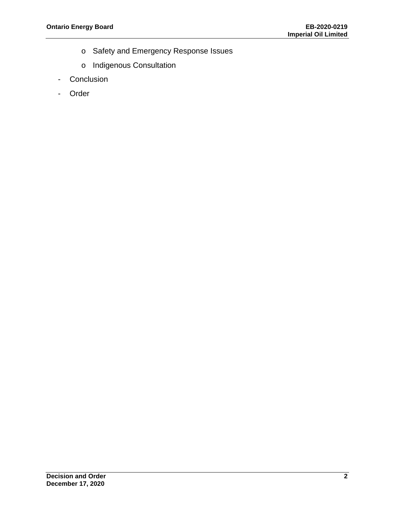- o Safety and Emergency Response Issues
- o Indigenous Consultation
- Conclusion
- Order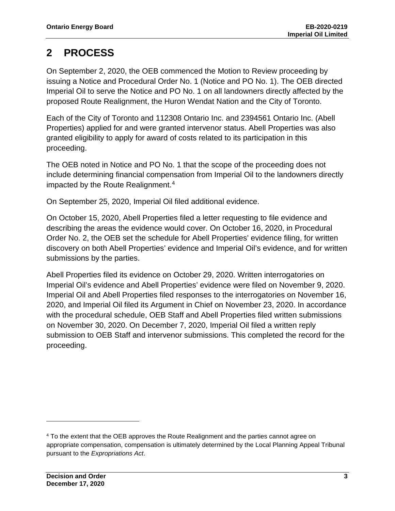## <span id="page-4-0"></span>**2 PROCESS**

On September 2, 2020, the OEB commenced the Motion to Review proceeding by issuing a Notice and Procedural Order No. 1 (Notice and PO No. 1). The OEB directed Imperial Oil to serve the Notice and PO No. 1 on all landowners directly affected by the proposed Route Realignment, the Huron Wendat Nation and the City of Toronto.

Each of the City of Toronto and 112308 Ontario Inc. and 2394561 Ontario Inc. (Abell Properties) applied for and were granted intervenor status. Abell Properties was also granted eligibility to apply for award of costs related to its participation in this proceeding.

The OEB noted in Notice and PO No. 1 that the scope of the proceeding does not include determining financial compensation from Imperial Oil to the landowners directly impacted by the Route Realignment. [4](#page-4-1)

On September 25, 2020, Imperial Oil filed additional evidence.

On October 15, 2020, Abell Properties filed a letter requesting to file evidence and describing the areas the evidence would cover. On October 16, 2020, in Procedural Order No. 2, the OEB set the schedule for Abell Properties' evidence filing, for written discovery on both Abell Properties' evidence and Imperial Oil's evidence, and for written submissions by the parties.

Abell Properties filed its evidence on October 29, 2020. Written interrogatories on Imperial Oil's evidence and Abell Properties' evidence were filed on November 9, 2020. Imperial Oil and Abell Properties filed responses to the interrogatories on November 16, 2020, and Imperial Oil filed its Argument in Chief on November 23, 2020. In accordance with the procedural schedule, OEB Staff and Abell Properties filed written submissions on November 30, 2020. On December 7, 2020, Imperial Oil filed a written reply submission to OEB Staff and intervenor submissions. This completed the record for the proceeding.

<span id="page-4-1"></span><sup>4</sup> To the extent that the OEB approves the Route Realignment and the parties cannot agree on appropriate compensation, compensation is ultimately determined by the Local Planning Appeal Tribunal pursuant to the *Expropriations Act*.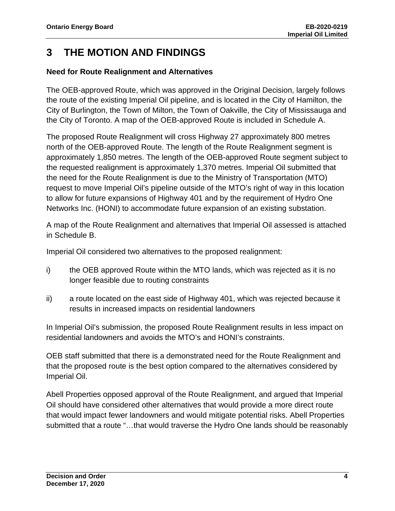### <span id="page-5-0"></span>**3 THE MOTION AND FINDINGS**

#### **Need for Route Realignment and Alternatives**

The OEB-approved Route, which was approved in the Original Decision, largely follows the route of the existing Imperial Oil pipeline, and is located in the City of Hamilton, the City of Burlington, the Town of Milton, the Town of Oakville, the City of Mississauga and the City of Toronto. A map of the OEB-approved Route is included in Schedule A.

The proposed Route Realignment will cross Highway 27 approximately 800 metres north of the OEB-approved Route. The length of the Route Realignment segment is approximately 1,850 metres. The length of the OEB-approved Route segment subject to the requested realignment is approximately 1,370 metres. Imperial Oil submitted that the need for the Route Realignment is due to the Ministry of Transportation (MTO) request to move Imperial Oil's pipeline outside of the MTO's right of way in this location to allow for future expansions of Highway 401 and by the requirement of Hydro One Networks Inc. (HONI) to accommodate future expansion of an existing substation.

A map of the Route Realignment and alternatives that Imperial Oil assessed is attached in Schedule B.

Imperial Oil considered two alternatives to the proposed realignment:

- i) the OEB approved Route within the MTO lands, which was rejected as it is no longer feasible due to routing constraints
- ii) a route located on the east side of Highway 401, which was rejected because it results in increased impacts on residential landowners

In Imperial Oil's submission, the proposed Route Realignment results in less impact on residential landowners and avoids the MTO's and HONI's constraints.

OEB staff submitted that there is a demonstrated need for the Route Realignment and that the proposed route is the best option compared to the alternatives considered by Imperial Oil.

Abell Properties opposed approval of the Route Realignment, and argued that Imperial Oil should have considered other alternatives that would provide a more direct route that would impact fewer landowners and would mitigate potential risks. Abell Properties submitted that a route "…that would traverse the Hydro One lands should be reasonably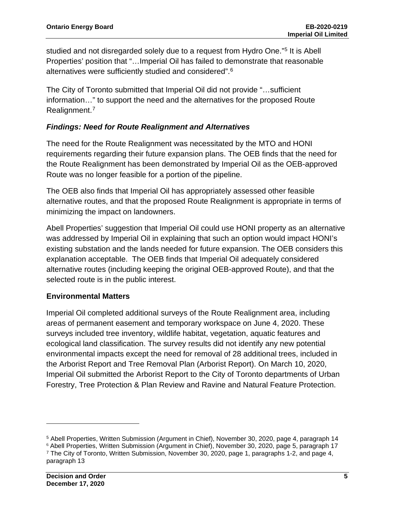studied and not disregarded solely due to a request from Hydro One."[5](#page-6-0) It is Abell Properties' position that "…Imperial Oil has failed to demonstrate that reasonable alternatives were sufficiently studied and considered".<sup>[6](#page-6-1)</sup>

The City of Toronto submitted that Imperial Oil did not provide "…sufficient information…" to support the need and the alternatives for the proposed Route Realignment. [7](#page-6-2)

#### *Findings: Need for Route Realignment and Alternatives*

The need for the Route Realignment was necessitated by the MTO and HONI requirements regarding their future expansion plans. The OEB finds that the need for the Route Realignment has been demonstrated by Imperial Oil as the OEB-approved Route was no longer feasible for a portion of the pipeline.

The OEB also finds that Imperial Oil has appropriately assessed other feasible alternative routes, and that the proposed Route Realignment is appropriate in terms of minimizing the impact on landowners.

Abell Properties' suggestion that Imperial Oil could use HONI property as an alternative was addressed by Imperial Oil in explaining that such an option would impact HONI's existing substation and the lands needed for future expansion. The OEB considers this explanation acceptable. The OEB finds that Imperial Oil adequately considered alternative routes (including keeping the original OEB-approved Route), and that the selected route is in the public interest.

#### **Environmental Matters**

Imperial Oil completed additional surveys of the Route Realignment area, including areas of permanent easement and temporary workspace on June 4, 2020. These surveys included tree inventory, wildlife habitat, vegetation, aquatic features and ecological land classification. The survey results did not identify any new potential environmental impacts except the need for removal of 28 additional trees, included in the Arborist Report and Tree Removal Plan (Arborist Report). On March 10, 2020, Imperial Oil submitted the Arborist Report to the City of Toronto departments of Urban Forestry, Tree Protection & Plan Review and Ravine and Natural Feature Protection.

<span id="page-6-0"></span><sup>5</sup> Abell Properties, Written Submission (Argument in Chief), November 30, 2020, page 4, paragraph 14

<span id="page-6-2"></span><span id="page-6-1"></span><sup>6</sup> Abell Properties, Written Submission (Argument in Chief), November 30, 2020, page 5, paragraph 17 <sup>7</sup> The City of Toronto, Written Submission, November 30, 2020, page 1, paragraphs 1-2, and page 4, paragraph 13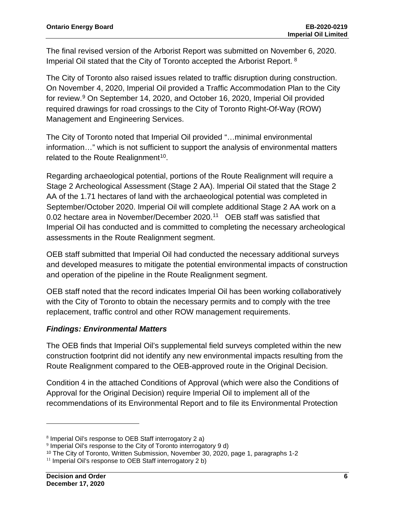The final revised version of the Arborist Report was submitted on November 6, 2020. Imperial Oil stated that the City of Toronto accepted the Arborist Report. [8](#page-7-0)

The City of Toronto also raised issues related to traffic disruption during construction. On November 4, 2020, Imperial Oil provided a Traffic Accommodation Plan to the City for review.[9](#page-7-1) On September 14, 2020, and October 16, 2020, Imperial Oil provided required drawings for road crossings to the City of Toronto Right-Of-Way (ROW) Management and Engineering Services.

The City of Toronto noted that Imperial Oil provided "…minimal environmental information…" which is not sufficient to support the analysis of environmental matters related to the Route Realignment<sup>[10](#page-7-2)</sup>.

Regarding archaeological potential, portions of the Route Realignment will require a Stage 2 Archeological Assessment (Stage 2 AA). Imperial Oil stated that the Stage 2 AA of the 1.71 hectares of land with the archaeological potential was completed in September/October 2020. Imperial Oil will complete additional Stage 2 AA work on a 0.02 hectare area in November/December 2020.[11](#page-7-3) OEB staff was satisfied that Imperial Oil has conducted and is committed to completing the necessary archeological assessments in the Route Realignment segment.

OEB staff submitted that Imperial Oil had conducted the necessary additional surveys and developed measures to mitigate the potential environmental impacts of construction and operation of the pipeline in the Route Realignment segment.

OEB staff noted that the record indicates Imperial Oil has been working collaboratively with the City of Toronto to obtain the necessary permits and to comply with the tree replacement, traffic control and other ROW management requirements.

#### *Findings: Environmental Matters*

The OEB finds that Imperial Oil's supplemental field surveys completed within the new construction footprint did not identify any new environmental impacts resulting from the Route Realignment compared to the OEB-approved route in the Original Decision.

Condition 4 in the attached Conditions of Approval (which were also the Conditions of Approval for the Original Decision) require Imperial Oil to implement all of the recommendations of its Environmental Report and to file its Environmental Protection

<span id="page-7-0"></span><sup>8</sup> Imperial Oil's response to OEB Staff interrogatory 2 a)

<span id="page-7-1"></span><sup>9</sup> Imperial Oil's response to the City of Toronto interrogatory 9 d)

<span id="page-7-2"></span><sup>&</sup>lt;sup>10</sup> The City of Toronto, Written Submission, November 30, 2020, page 1, paragraphs 1-2

<span id="page-7-3"></span> $11$  Imperial Oil's response to OEB Staff interrogatory 2 b)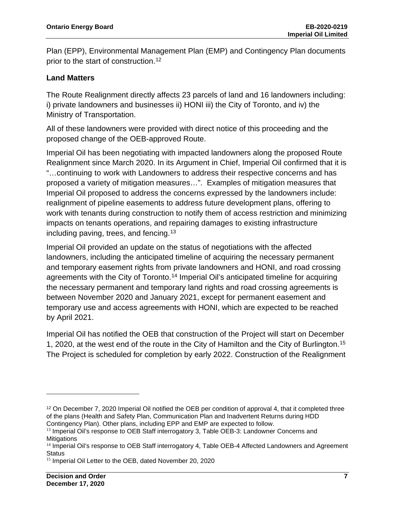Plan (EPP), Environmental Management Plan (EMP) and Contingency Plan documents prior to the start of construction.<sup>[12](#page-8-0)</sup>

#### **Land Matters**

The Route Realignment directly affects 23 parcels of land and 16 landowners including: i) private landowners and businesses ii) HONI iii) the City of Toronto, and iv) the Ministry of Transportation.

All of these landowners were provided with direct notice of this proceeding and the proposed change of the OEB-approved Route.

Imperial Oil has been negotiating with impacted landowners along the proposed Route Realignment since March 2020. In its Argument in Chief, Imperial Oil confirmed that it is "…continuing to work with Landowners to address their respective concerns and has proposed a variety of mitigation measures…". Examples of mitigation measures that Imperial Oil proposed to address the concerns expressed by the landowners include: realignment of pipeline easements to address future development plans, offering to work with tenants during construction to notify them of access restriction and minimizing impacts on tenants operations, and repairing damages to existing infrastructure including paving, trees, and fencing.<sup>[13](#page-8-1)</sup>

Imperial Oil provided an update on the status of negotiations with the affected landowners, including the anticipated timeline of acquiring the necessary permanent and temporary easement rights from private landowners and HONI, and road crossing agreements with the City of Toronto.<sup>[14](#page-8-2)</sup> Imperial Oil's anticipated timeline for acquiring the necessary permanent and temporary land rights and road crossing agreements is between November 2020 and January 2021, except for permanent easement and temporary use and access agreements with HONI, which are expected to be reached by April 2021.

Imperial Oil has notified the OEB that construction of the Project will start on December 1, 2020, at the west end of the route in the City of Hamilton and the City of Burlington.[15](#page-8-3) The Project is scheduled for completion by early 2022. Construction of the Realignment

<span id="page-8-0"></span><sup>&</sup>lt;sup>12</sup> On December 7, 2020 Imperial Oil notified the OEB per condition of approval 4, that it completed three of the plans (Health and Safety Plan, Communication Plan and Inadvertent Returns during HDD Contingency Plan). Other plans, including EPP and EMP are expected to follow.

<span id="page-8-1"></span><sup>&</sup>lt;sup>13</sup> Imperial Oil's response to OEB Staff interrogatory 3, Table OEB-3: Landowner Concerns and **Mitigations** 

<span id="page-8-2"></span><sup>&</sup>lt;sup>14</sup> Imperial Oil's response to OEB Staff interrogatory 4, Table OEB-4 Affected Landowners and Agreement **Status** 

<span id="page-8-3"></span><sup>&</sup>lt;sup>15</sup> Imperial Oil Letter to the OEB, dated November 20, 2020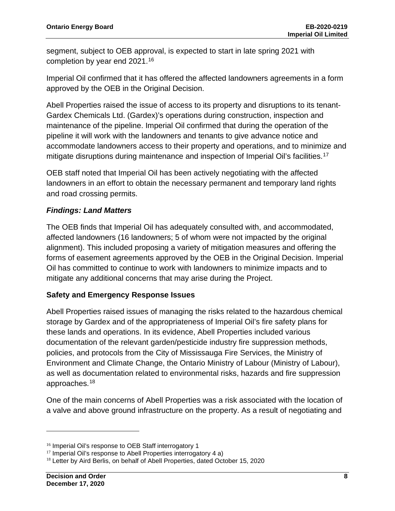segment, subject to OEB approval, is expected to start in late spring 2021 with completion by year end 2021.[16](#page-9-0)

Imperial Oil confirmed that it has offered the affected landowners agreements in a form approved by the OEB in the Original Decision.

Abell Properties raised the issue of access to its property and disruptions to its tenant-Gardex Chemicals Ltd. (Gardex)'s operations during construction, inspection and maintenance of the pipeline. Imperial Oil confirmed that during the operation of the pipeline it will work with the landowners and tenants to give advance notice and accommodate landowners access to their property and operations, and to minimize and mitigate disruptions during maintenance and inspection of Imperial Oil's facilities.<sup>[17](#page-9-1)</sup>

OEB staff noted that Imperial Oil has been actively negotiating with the affected landowners in an effort to obtain the necessary permanent and temporary land rights and road crossing permits.

#### *Findings: Land Matters*

The OEB finds that Imperial Oil has adequately consulted with, and accommodated, affected landowners (16 landowners; 5 of whom were not impacted by the original alignment). This included proposing a variety of mitigation measures and offering the forms of easement agreements approved by the OEB in the Original Decision. Imperial Oil has committed to continue to work with landowners to minimize impacts and to mitigate any additional concerns that may arise during the Project.

#### **Safety and Emergency Response Issues**

Abell Properties raised issues of managing the risks related to the hazardous chemical storage by Gardex and of the appropriateness of Imperial Oil's fire safety plans for these lands and operations. In its evidence, Abell Properties included various documentation of the relevant garden/pesticide industry fire suppression methods, policies, and protocols from the City of Mississauga Fire Services, the Ministry of Environment and Climate Change, the Ontario Ministry of Labour (Ministry of Labour), as well as documentation related to environmental risks, hazards and fire suppression approaches. [18](#page-9-2)

One of the main concerns of Abell Properties was a risk associated with the location of a valve and above ground infrastructure on the property. As a result of negotiating and

<span id="page-9-0"></span><sup>&</sup>lt;sup>16</sup> Imperial Oil's response to OEB Staff interrogatory 1

<span id="page-9-1"></span> $17$  Imperial Oil's response to Abell Properties interrogatory 4 a)

<span id="page-9-2"></span><sup>&</sup>lt;sup>18</sup> Letter by Aird Berlis, on behalf of Abell Properties, dated October 15, 2020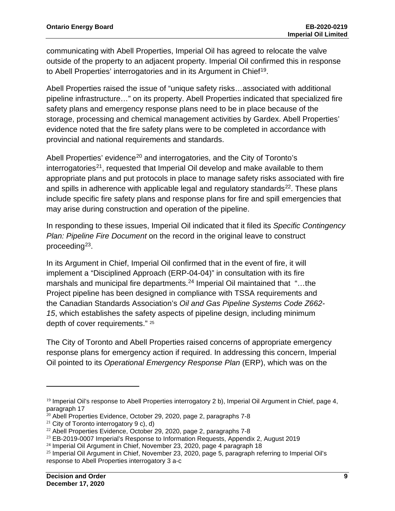communicating with Abell Properties, Imperial Oil has agreed to relocate the valve outside of the property to an adjacent property. Imperial Oil confirmed this in response to Abell Properties' interrogatories and in its Argument in Chief<sup>19</sup>.

Abell Properties raised the issue of "unique safety risks…associated with additional pipeline infrastructure…" on its property. Abell Properties indicated that specialized fire safety plans and emergency response plans need to be in place because of the storage, processing and chemical management activities by Gardex. Abell Properties' evidence noted that the fire safety plans were to be completed in accordance with provincial and national requirements and standards.

Abell Properties' evidence<sup>[20](#page-10-1)</sup> and interrogatories, and the City of Toronto's interrogatories<sup>[21](#page-10-2)</sup>, requested that Imperial Oil develop and make available to them appropriate plans and put protocols in place to manage safety risks associated with fire and spills in adherence with applicable legal and regulatory standards $22$ . These plans include specific fire safety plans and response plans for fire and spill emergencies that may arise during construction and operation of the pipeline.

In responding to these issues, Imperial Oil indicated that it filed its *Specific Contingency Plan: Pipeline Fire Document* on the record in the original leave to construct proceeding<sup>23</sup>.

In its Argument in Chief, Imperial Oil confirmed that in the event of fire, it will implement a "Disciplined Approach (ERP-04-04)" in consultation with its fire marshals and municipal fire departments.<sup>[24](#page-10-5)</sup> Imperial Oil maintained that "...the Project pipeline has been designed in compliance with TSSA requirements and the Canadian Standards Association's *Oil and Gas Pipeline Systems Code Z662- 15*, which establishes the safety aspects of pipeline design, including minimum depth of cover requirements." [25](#page-10-6)

The City of Toronto and Abell Properties raised concerns of appropriate emergency response plans for emergency action if required. In addressing this concern, Imperial Oil pointed to its *Operational Emergency Response Plan* (ERP), which was on the

<span id="page-10-0"></span><sup>&</sup>lt;sup>19</sup> Imperial Oil's response to Abell Properties interrogatory 2 b), Imperial Oil Argument in Chief, page 4, paragraph 17

<span id="page-10-1"></span> $20$  Abell Properties Evidence, October 29, 2020, page 2, paragraphs 7-8

<span id="page-10-2"></span><sup>&</sup>lt;sup>21</sup> City of Toronto interrogatory  $9 c$ , d)

<span id="page-10-3"></span><sup>22</sup> Abell Properties Evidence, October 29, 2020, page 2, paragraphs 7-8

<span id="page-10-4"></span><sup>23</sup> EB-2019-0007 Imperial's Response to Information Requests, Appendix 2, August 2019

<span id="page-10-5"></span><sup>&</sup>lt;sup>24</sup> Imperial Oil Argument in Chief, November 23, 2020, page 4 paragraph 18

<span id="page-10-6"></span> $25$  Imperial Oil Argument in Chief, November 23, 2020, page 5, paragraph referring to Imperial Oil's response to Abell Properties interrogatory 3 a-c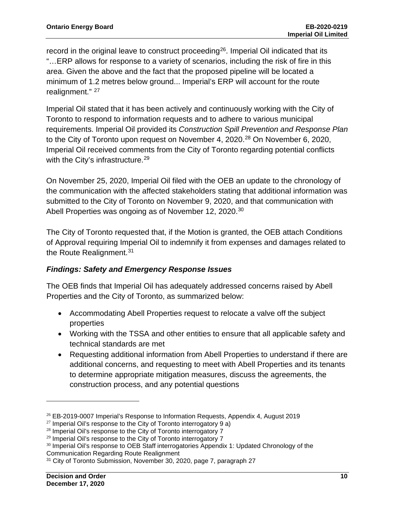record in the original leave to construct proceeding<sup>[26](#page-11-0)</sup>. Imperial Oil indicated that its "…ERP allows for response to a variety of scenarios, including the risk of fire in this area. Given the above and the fact that the proposed pipeline will be located a minimum of 1.2 metres below ground... Imperial's ERP will account for the route realignment." <sup>[27](#page-11-1)</sup>

Imperial Oil stated that it has been actively and continuously working with the City of Toronto to respond to information requests and to adhere to various municipal requirements. Imperial Oil provided its *Construction Spill Prevention and Response Plan* to the City of Toronto upon request on November 4, 2020.<sup>[28](#page-11-2)</sup> On November 6, 2020, Imperial Oil received comments from the City of Toronto regarding potential conflicts with the City's infrastructure.<sup>[29](#page-11-3)</sup>

On November 25, 2020, Imperial Oil filed with the OEB an update to the chronology of the communication with the affected stakeholders stating that additional information was submitted to the City of Toronto on November 9, 2020, and that communication with Abell Properties was ongoing as of November 12, 2020.<sup>[30](#page-11-4)</sup>

The City of Toronto requested that, if the Motion is granted, the OEB attach Conditions of Approval requiring Imperial Oil to indemnify it from expenses and damages related to the Route Realignment.<sup>[31](#page-11-5)</sup>

#### *Findings: Safety and Emergency Response Issues*

The OEB finds that Imperial Oil has adequately addressed concerns raised by Abell Properties and the City of Toronto, as summarized below:

- Accommodating Abell Properties request to relocate a valve off the subject properties
- Working with the TSSA and other entities to ensure that all applicable safety and technical standards are met
- Requesting additional information from Abell Properties to understand if there are additional concerns, and requesting to meet with Abell Properties and its tenants to determine appropriate mitigation measures, discuss the agreements, the construction process, and any potential questions

<span id="page-11-0"></span> $26$  EB-2019-0007 Imperial's Response to Information Requests, Appendix 4, August 2019

<span id="page-11-1"></span> $27$  Imperial Oil's response to the City of Toronto interrogatory 9 a)

<span id="page-11-2"></span><sup>&</sup>lt;sup>28</sup> Imperial Oil's response to the City of Toronto interrogatory 7

<sup>&</sup>lt;sup>29</sup> Imperial Oil's response to the City of Toronto interrogatory 7

<span id="page-11-4"></span><span id="page-11-3"></span><sup>&</sup>lt;sup>30</sup> Imperial Oil's response to OEB Staff interrogatories Appendix 1: Updated Chronology of the Communication Regarding Route Realignment

<span id="page-11-5"></span><sup>&</sup>lt;sup>31</sup> City of Toronto Submission, November 30, 2020, page 7, paragraph 27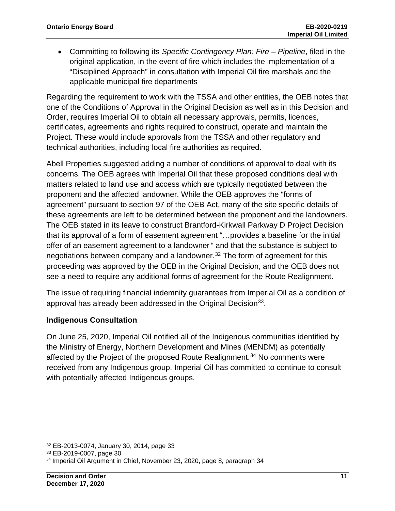• Committing to following its *Specific Contingency Plan: Fire – Pipeline*, filed in the original application, in the event of fire which includes the implementation of a "Disciplined Approach" in consultation with Imperial Oil fire marshals and the applicable municipal fire departments

Regarding the requirement to work with the TSSA and other entities, the OEB notes that one of the Conditions of Approval in the Original Decision as well as in this Decision and Order, requires Imperial Oil to obtain all necessary approvals, permits, licences, certificates, agreements and rights required to construct, operate and maintain the Project. These would include approvals from the TSSA and other regulatory and technical authorities, including local fire authorities as required.

Abell Properties suggested adding a number of conditions of approval to deal with its concerns. The OEB agrees with Imperial Oil that these proposed conditions deal with matters related to land use and access which are typically negotiated between the proponent and the affected landowner. While the OEB approves the "forms of agreement" pursuant to section 97 of the OEB Act, many of the site specific details of these agreements are left to be determined between the proponent and the landowners. The OEB stated in its leave to construct Brantford-Kirkwall Parkway D Project Decision that its approval of a form of easement agreement "…provides a baseline for the initial offer of an easement agreement to a landowner " and that the substance is subject to negotiations between company and a landowner. [32](#page-12-0) The form of agreement for this proceeding was approved by the OEB in the Original Decision, and the OEB does not see a need to require any additional forms of agreement for the Route Realignment.

The issue of requiring financial indemnity guarantees from Imperial Oil as a condition of approval has already been addressed in the Original Decision<sup>33</sup>.

#### **Indigenous Consultation**

On June 25, 2020, Imperial Oil notified all of the Indigenous communities identified by the Ministry of Energy, Northern Development and Mines (MENDM) as potentially affected by the Project of the proposed Route Realignment.<sup>[34](#page-12-2)</sup> No comments were received from any Indigenous group. Imperial Oil has committed to continue to consult with potentially affected Indigenous groups.

<span id="page-12-0"></span><sup>32</sup> EB-2013-0074, January 30, 2014, page 33

<span id="page-12-1"></span><sup>33</sup> EB-2019-0007, page 30

<span id="page-12-2"></span><sup>&</sup>lt;sup>34</sup> Imperial Oil Argument in Chief, November 23, 2020, page 8, paragraph 34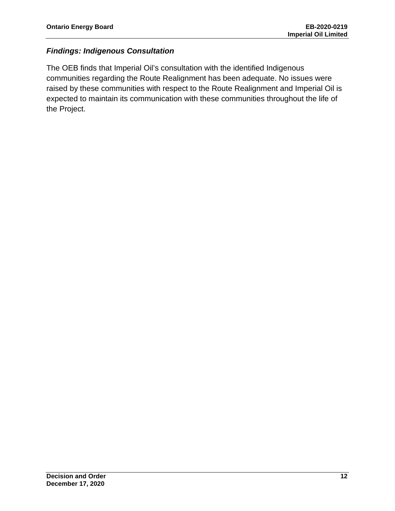#### *Findings: Indigenous Consultation*

The OEB finds that Imperial Oil's consultation with the identified Indigenous communities regarding the Route Realignment has been adequate. No issues were raised by these communities with respect to the Route Realignment and Imperial Oil is expected to maintain its communication with these communities throughout the life of the Project.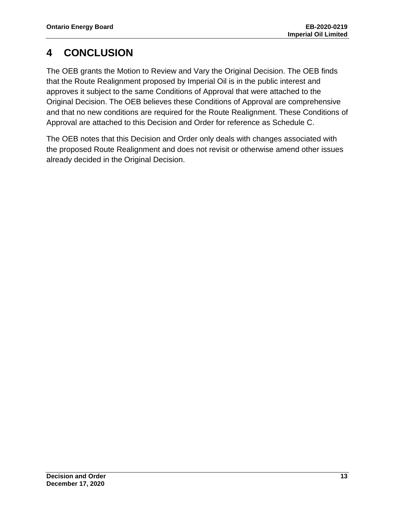# <span id="page-14-0"></span>**4 CONCLUSION**

The OEB grants the Motion to Review and Vary the Original Decision. The OEB finds that the Route Realignment proposed by Imperial Oil is in the public interest and approves it subject to the same Conditions of Approval that were attached to the Original Decision. The OEB believes these Conditions of Approval are comprehensive and that no new conditions are required for the Route Realignment. These Conditions of Approval are attached to this Decision and Order for reference as Schedule C.

The OEB notes that this Decision and Order only deals with changes associated with the proposed Route Realignment and does not revisit or otherwise amend other issues already decided in the Original Decision.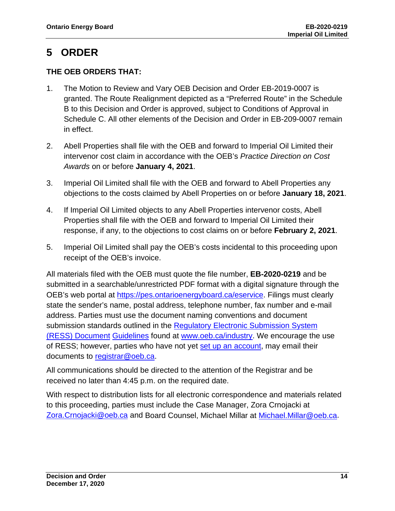### <span id="page-15-0"></span>**5 ORDER**

#### **THE OEB ORDERS THAT:**

- 1. The Motion to Review and Vary OEB Decision and Order EB-2019-0007 is granted. The Route Realignment depicted as a "Preferred Route" in the Schedule B to this Decision and Order is approved, subject to Conditions of Approval in Schedule C. All other elements of the Decision and Order in EB-209-0007 remain in effect.
- 2. Abell Properties shall file with the OEB and forward to Imperial Oil Limited their intervenor cost claim in accordance with the OEB's *Practice Direction on Cost Awards* on or before **January 4, 2021**.
- 3. Imperial Oil Limited shall file with the OEB and forward to Abell Properties any objections to the costs claimed by Abell Properties on or before **January 18, 2021**.
- 4. If Imperial Oil Limited objects to any Abell Properties intervenor costs, Abell Properties shall file with the OEB and forward to Imperial Oil Limited their response, if any, to the objections to cost claims on or before **February 2, 2021**.
- 5. Imperial Oil Limited shall pay the OEB's costs incidental to this proceeding upon receipt of the OEB's invoice.

All materials filed with the OEB must quote the file number, **EB-2020-0219** and be submitted in a searchable/unrestricted PDF format with a digital signature through the OEB's web portal at [https://pes.ontarioenergyboard.ca/eservice.](https://pes.ontarioenergyboard.ca/eservice) Filings must clearly state the sender's name, postal address, telephone number, fax number and e-mail address. Parties must use the document naming conventions and document submission standards outlined in the Regulatory Electronic Submission System [\(RESS\) Document](https://www.oeb.ca/sites/default/files/RESS-Document-Guidelines-202006.pdf) [Guidelines](https://www.oeb.ca/sites/default/files/RESS-Document-Guidelines-202006.pdf) found at [www.oeb.ca/industry.](https://www.oeb.ca/industry/tools-resources-and-links/filing-systems) We encourage the use of RESS; however, parties who have not yet [set up an account,](https://www.oeb.ca/oeb/_Documents/e-Filing/Electronic_User_Form.pdf?v=20200331) may email their documents to [registrar@oeb.ca.](mailto:registrar@oeb.ca)

All communications should be directed to the attention of the Registrar and be received no later than 4:45 p.m. on the required date.

With respect to distribution lists for all electronic correspondence and materials related to this proceeding, parties must include the Case Manager, Zora Crnojacki at [Zora.Crnojacki@oeb.ca](mailto:Zora.Crnojacki@oeb.ca) and Board Counsel, Michael Millar at [Michael.Millar@oeb.ca.](mailto:Michael.Millar@oeb.ca)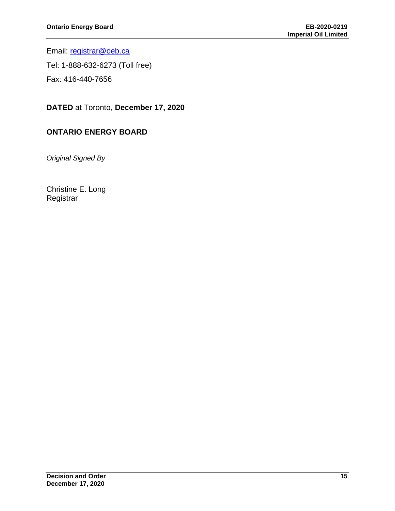Email: [registrar@oeb.ca](mailto:registrar@oeb.ca)

Tel: 1-888-632-6273 (Toll free)

Fax: 416-440-7656

**DATED** at Toronto, **December 17, 2020**

#### **ONTARIO ENERGY BOARD**

*Original Signed By*

Christine E. Long **Registrar**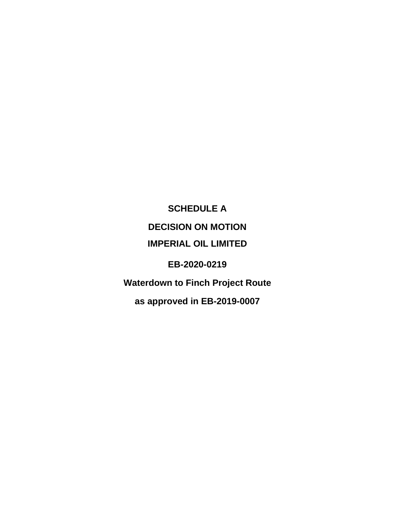<span id="page-17-0"></span>**SCHEDULE A DECISION ON MOTION IMPERIAL OIL LIMITED EB-2020-0219 Waterdown to Finch Project Route as approved in EB-2019-0007**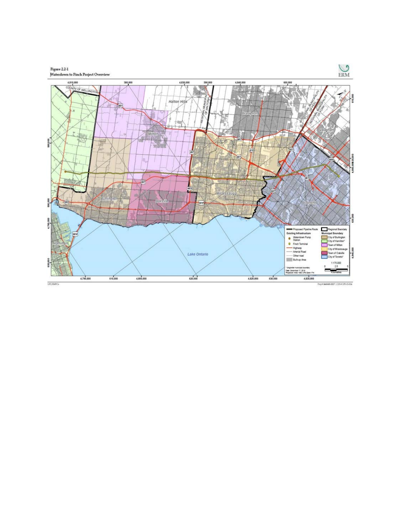

Proj # 0460600-0027 | CIS # UPS-15-014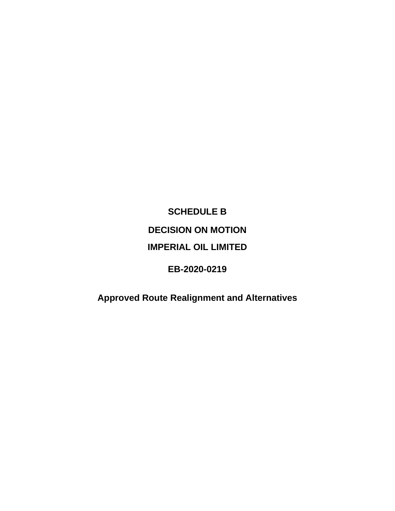# <span id="page-19-0"></span>**SCHEDULE B DECISION ON MOTION IMPERIAL OIL LIMITED**

#### **EB-2020-0219**

## **Approved Route Realignment and Alternatives**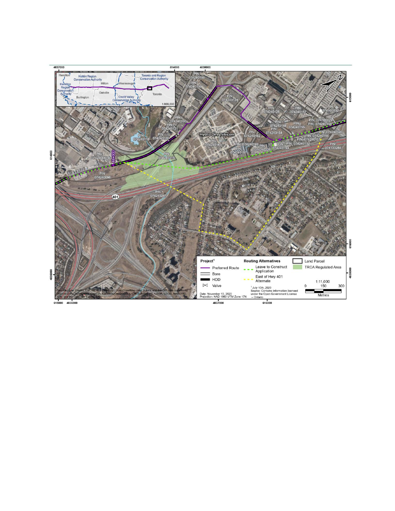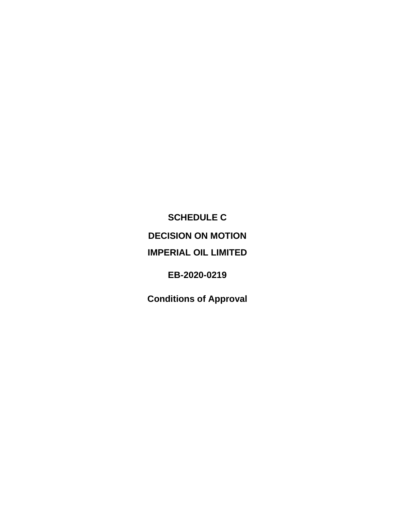<span id="page-21-0"></span>**SCHEDULE C DECISION ON MOTION IMPERIAL OIL LIMITED**

**EB-2020-0219**

**Conditions of Approval**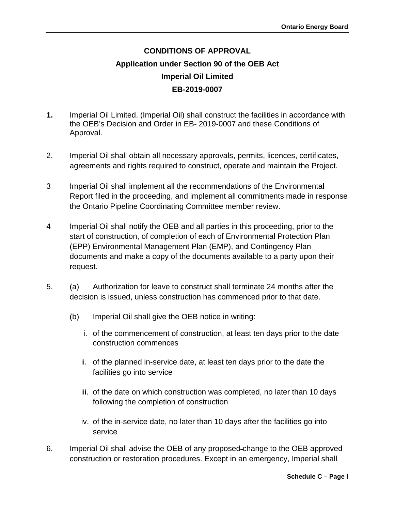### **CONDITIONS OF APPROVAL Application under Section 90 of the OEB Act Imperial Oil Limited EB-2019-0007**

- **1.** Imperial Oil Limited. (Imperial Oil) shall construct the facilities in accordance with the OEB's Decision and Order in EB- 2019-0007 and these Conditions of Approval.
- 2. Imperial Oil shall obtain all necessary approvals, permits, licences, certificates, agreements and rights required to construct, operate and maintain the Project.
- 3 Imperial Oil shall implement all the recommendations of the Environmental Report filed in the proceeding, and implement all commitments made in response the Ontario Pipeline Coordinating Committee member review.
- 4 Imperial Oil shall notify the OEB and all parties in this proceeding, prior to the start of construction, of completion of each of Environmental Protection Plan (EPP) Environmental Management Plan (EMP), and Contingency Plan documents and make a copy of the documents available to a party upon their request.
- 5. (a) Authorization for leave to construct shall terminate 24 months after the decision is issued, unless construction has commenced prior to that date.
	- (b) Imperial Oil shall give the OEB notice in writing:
		- i. of the commencement of construction, at least ten days prior to the date construction commences
		- ii. of the planned in-service date, at least ten days prior to the date the facilities go into service
		- iii. of the date on which construction was completed, no later than 10 days following the completion of construction
		- iv. of the in-service date, no later than 10 days after the facilities go into service
- 6. Imperial Oil shall advise the OEB of any proposed change to the OEB approved construction or restoration procedures. Except in an emergency, Imperial shall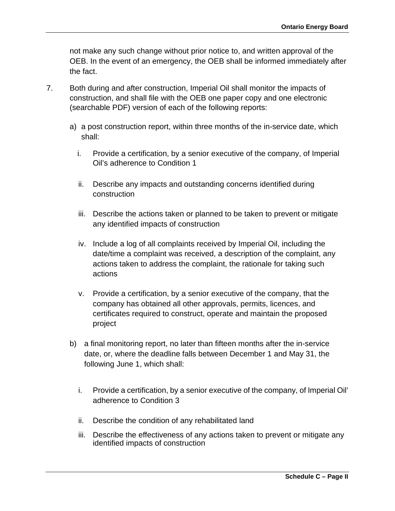not make any such change without prior notice to, and written approval of the OEB. In the event of an emergency, the OEB shall be informed immediately after the fact.

- 7. Both during and after construction, Imperial Oil shall monitor the impacts of construction, and shall file with the OEB one paper copy and one electronic (searchable PDF) version of each of the following reports:
	- a) a post construction report, within three months of the in-service date, which shall:
		- i. Provide a certification, by a senior executive of the company, of Imperial Oil's adherence to Condition 1
		- ii. Describe any impacts and outstanding concerns identified during construction
		- iii. Describe the actions taken or planned to be taken to prevent or mitigate any identified impacts of construction
		- iv. Include a log of all complaints received by Imperial Oil, including the date/time a complaint was received, a description of the complaint, any actions taken to address the complaint, the rationale for taking such actions
		- v. Provide a certification, by a senior executive of the company, that the company has obtained all other approvals, permits, licences, and certificates required to construct, operate and maintain the proposed project
	- b) a final monitoring report, no later than fifteen months after the in-service date, or, where the deadline falls between December 1 and May 31, the following June 1, which shall:
		- i. Provide a certification, by a senior executive of the company, of Imperial Oil' adherence to Condition 3
		- ii. Describe the condition of any rehabilitated land
		- iii. Describe the effectiveness of any actions taken to prevent or mitigate any identified impacts of construction